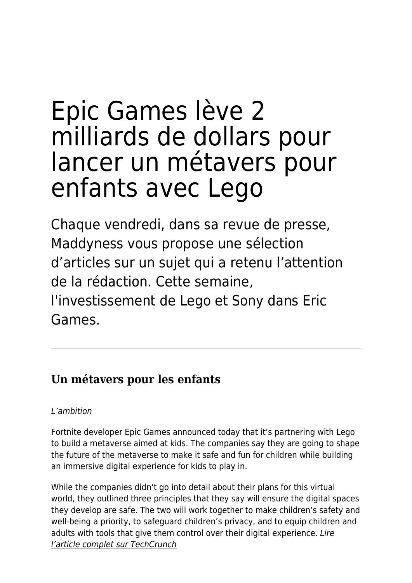# Epic Games lève 2 milliards de dollars pour lancer un métavers pour enfants avec Lego

Chaque vendredi, dans sa revue de presse, Maddyness vous propose une sélection d'articles sur un sujet qui a retenu l'attention de la rédaction. Cette semaine, l'investissement de Lego et Sony dans Eric Games.

# **Un métavers pour les enfants**

## L'ambition

Fortnite developer Epic Games [announced](https://www.epicgames.com/site/en-US/news/the-lego-group-and-epic-games-team-up-to-build-a-place-for-kids-to-play-in-the-metaverse) today that it's partnering with Lego to build a metaverse aimed at kids. The companies say they are going to shape the future of the metaverse to make it safe and fun for children while building an immersive digital experience for kids to play in.

While the companies didn't go into detail about their plans for this virtual world, they outlined three principles that they say will ensure the digital spaces they develop are safe. The two will work together to make children's safety and well-being a priority, to safeguard children's privacy, and to equip children and adults with tools that give them control over their digital experience. [Lire](https://techcrunch.com/2022/04/07/fortnite-epic-games-lego-partner-build-metaverse-kids/) [l'article complet sur TechCrunch](https://techcrunch.com/2022/04/07/fortnite-epic-games-lego-partner-build-metaverse-kids/)